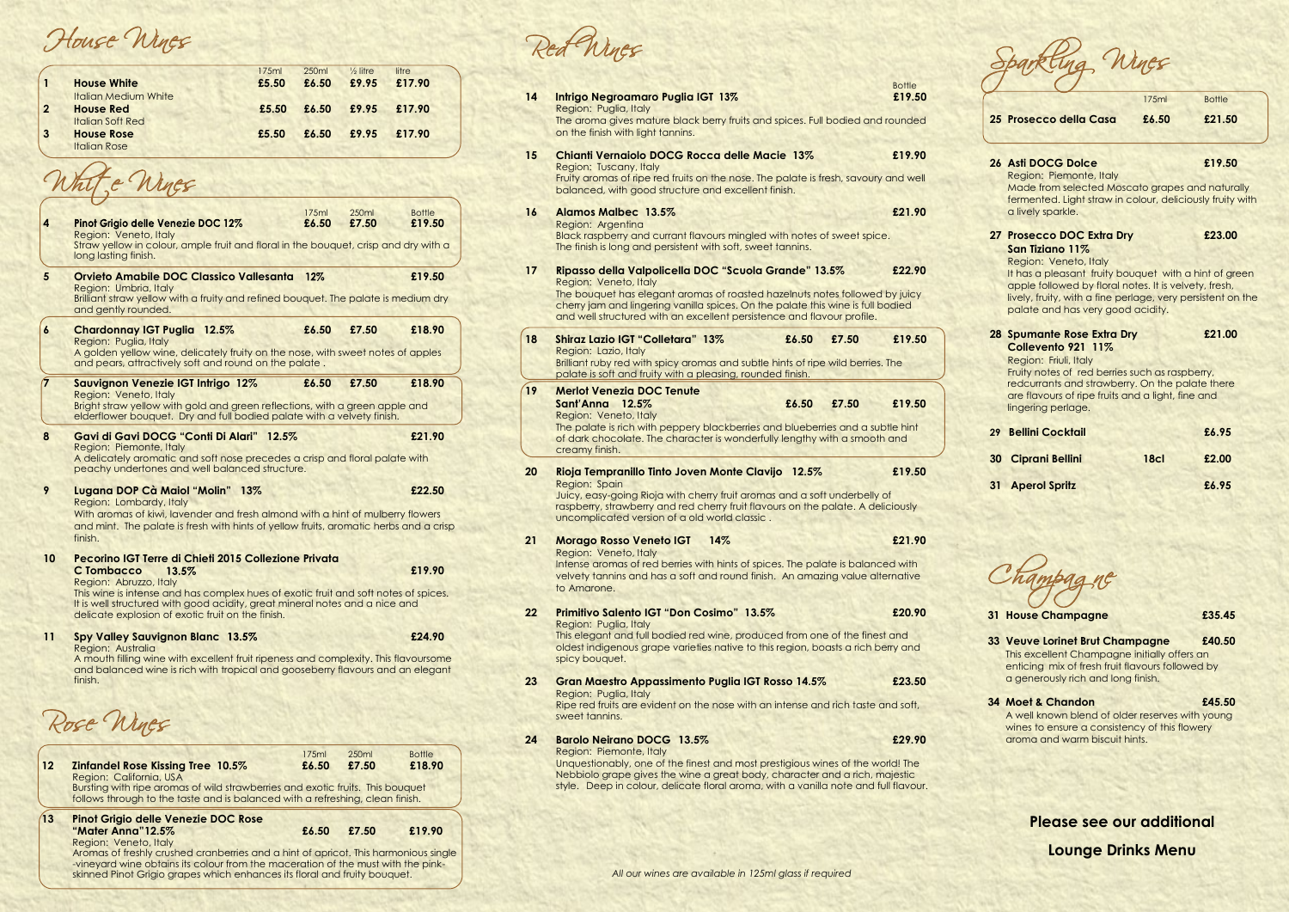Rose Wines

| 12          | <b>Zinfandel Rose Kissing Tree 10.5%</b>                                                                                                                        | 175ml<br>£6.50 | 250 <sub>ml</sub><br>£7.50 | <b>Bottle</b><br>£18.90 |  |  |
|-------------|-----------------------------------------------------------------------------------------------------------------------------------------------------------------|----------------|----------------------------|-------------------------|--|--|
|             | Region: California, USA                                                                                                                                         |                |                            |                         |  |  |
|             | Bursting with ripe aromas of wild strawberries and exotic fruits. This bouquet<br>follows through to the taste and is balanced with a refreshing, clean finish. |                |                            |                         |  |  |
| $\sqrt{13}$ | <b>Pinot Grigio delle Venezie DOC Rose</b>                                                                                                                      |                |                            |                         |  |  |
|             | "Mater Anna"12.5%                                                                                                                                               | £6.50          | £7.50                      | £19.90                  |  |  |
|             | Region: Veneto, Italy                                                                                                                                           |                |                            |                         |  |  |
|             | Aromas of freshly crushed cranberries and a hint of apricot. This harmonious single                                                                             |                |                            |                         |  |  |
|             | -vineyard wine obtains its colour from the maceration of the must with the pink-<br>skinned Pinot Grigio grapes which enhances its floral and fruity bouquet.   |                |                            |                         |  |  |
|             |                                                                                                                                                                 |                |                            |                         |  |  |

Wines

House Wines

|                |                             | 175ml | 250ml | $\frac{1}{2}$ litre | litre  |  |
|----------------|-----------------------------|-------|-------|---------------------|--------|--|
|                | <b>House White</b>          | £5.50 | £6.50 | £9.95               | £17.90 |  |
|                | <b>Italian Medium White</b> |       |       |                     |        |  |
| $\overline{2}$ | <b>House Red</b>            | £5.50 | £6.50 | £9.95               | £17.90 |  |
|                | <b>Italian Soft Red</b>     |       |       |                     |        |  |
|                | <b>House Rose</b>           | £5.50 | £6.50 | £9.95               | £17.90 |  |
|                | <b>Italian Rose</b>         |       |       |                     |        |  |

White Wines 175ml 250ml Bottle Bottle **Pinot Grigio delle Venezie DOC 12%** Region: Veneto, Italy Straw yellow in colour, ample fruit and floral in the bouquet, crisp and dry with a long lasting finish. **5 Orvieto Amabile DOC Classico Vallesanta** 12% **£19.50** Region: Umbria, Italy Brilliant straw yellow with a fruity and refined bouquet. The palate is medium dry and gently rounded. **6 Chardonnay IGT Puglia 12.5% £6.50 £7.50 £18.90** Region: Puglia, Italy A golden yellow wine, delicately fruity on the nose, with sweet notes of apples and pears, attractively soft and round on the palate **7 Sauvignon Venezie IGT Intrigo 12% £6.50 £7.50 £18.90** Region: Veneto, Italy Bright straw yellow with gold and green reflections, with a green apple and elderflower bouquet. Dry and full bodied palate with a velvety finish. **8 Gavi di Gavi DOCG "Conti Di Alari" 12.5% £21.90** Region: Piemonte, Italy A delicately aromatic and soft nose precedes a crisp and floral palate with peachy undertones and well balanced structure. **9 Lugana DOP Cà Maiol "Molin" 13% £22.50** Region: Lombardy, Italy With aromas of kiwi, lavender and fresh almond with a hint of mulberry flowers and mint. The palate is fresh with hints of yellow fruits, aromatic herbs and a crisp finish. **10 Pecorino IGT Terre di Chieti 2015 Collezione Privata C Tombacco £19.90** Region: Abruzzo, Italy This wine is intense and has complex hues of exotic fruit and soft notes of spices. It is well structured with good acidity, great mineral notes and a nice and delicate explosion of exotic fruit on the finish. **11 Spy Valley Sauvignon Blanc £24.90** Region: Australia

A mouth filling wine with excellent fruit ripeness and complexity. This flavoursome and balanced wine is rich with tropical and gooseberry flavours and an elegant finish.

Bottle

Champagne

| 14 | Intrigo Negroamaro Puglia IGT 13%<br>Region: Puglia, Italy<br>The aroma gives mature black berry fruits and spices. Full bodied and rounded                                                                                                                                                                               | £19.50 |
|----|---------------------------------------------------------------------------------------------------------------------------------------------------------------------------------------------------------------------------------------------------------------------------------------------------------------------------|--------|
|    | on the finish with light tannins.<br><b>Chianti Vernaiolo DOCG Rocca delle Macie 13%</b>                                                                                                                                                                                                                                  | £19.90 |
| 15 | Region: Tuscany, Italy<br>Fruity aromas of ripe red fruits on the nose. The palate is fresh, savoury and well<br>balanced, with good structure and excellent finish.                                                                                                                                                      |        |
| 16 | <b>Alamos Malbec 13.5%</b><br>Region: Argentina<br>Black raspberry and currant flavours mingled with notes of sweet spice.<br>The finish is long and persistent with soft, sweet tannins.                                                                                                                                 | £21.90 |
| 17 | Ripasso della Valpolicella DOC "Scuola Grande" 13.5%<br>Region: Veneto, Italy<br>The bouquet has elegant aromas of roasted hazelnuts notes followed by juicy<br>cherry jam and lingering vanilla spices. On the palate this wine is full bodied<br>and well structured with an excellent persistence and flavour profile. | £22.90 |
| 18 | <b>Shiraz Lazio IGT "Colletara" 13%</b><br>£6.50<br>£7.50<br>Region: Lazio, Italy<br>Brilliant ruby red with spicy aromas and subtle hints of ripe wild berries. The<br>palate is soft and fruity with a pleasing, rounded finish.                                                                                        | £19.50 |
| 19 | <b>Merlot Venezia DOC Tenute</b><br>£6.50<br>£7.50<br>Sant'Anna 12.5%<br>Region: Veneto, Italy<br>The palate is rich with peppery blackberries and blueberries and a subtle hint<br>of dark chocolate. The character is wonderfully lengthy with a smooth and<br>creamy finish.                                           | £19.50 |
| 20 | Rioja Tempranillo Tinto Joven Monte Clavijo 12.5%<br><b>Region: Spain</b><br>Juicy, easy-going Rioja with cherry fruit aromas and a soft underbelly of<br>raspberry, strawberry and red cherry fruit flavours on the palate. A deliciously<br>uncomplicated version of a old world classic.                               | £19.50 |
| 21 | <b>Morago Rosso Veneto IGT</b><br>14%<br>Region: Veneto, Italy<br>Intense aromas of red berries with hints of spices. The palate is balanced with<br>velvety tannins and has a soft and round finish. An amazing value alternative<br>to Amarone.                                                                         | £21.90 |
| 22 | Primitivo Salento IGT "Don Cosimo" 13.5%<br>Region: Puglia, Italy<br>This elegant and full bodied red wine, produced from one of the finest and<br>oldest indigenous grape varieties native to this region, boasts a rich berry and<br>spicy bouquet.                                                                     | £20.90 |
| 23 | <b>Gran Maestro Appassimento Puglia IGT Rosso 14.5%</b><br>Region: Puglia, Italy<br>Ripe red fruits are evident on the nose with an intense and rich taste and soft,<br>sweet tannins.                                                                                                                                    | £23.50 |
| 24 | <b>Barolo Neirano DOCG 13.5%</b><br>Region: Piemonte, Italy<br>Unquestionably, one of the finest and most prestigious wines of the world! The<br>Nebbiolo grape gives the wine a great body, character and a rich, majestic<br>style. Deep in colour, delicate floral aroma, with a vanilla note and full flavour.        | £29.90 |

|    |                                                                                                                                                                                                                                                                                             | 175ml            | <b>Bottle</b> |
|----|---------------------------------------------------------------------------------------------------------------------------------------------------------------------------------------------------------------------------------------------------------------------------------------------|------------------|---------------|
|    | 25 Prosecco della Casa                                                                                                                                                                                                                                                                      | £6.50            | £21.50        |
|    |                                                                                                                                                                                                                                                                                             |                  |               |
|    | <b>26 Asti DOCG Dolce</b><br>Region: Piemonte, Italy<br>Made from selected Moscato grapes and naturally<br>fermented. Light straw in colour, deliciously fruity with<br>a lively sparkle.                                                                                                   |                  | £19.50        |
|    | 27 Prosecco DOC Extra Dry<br>San Tiziano 11%<br>Region: Veneto, Italy<br>It has a pleasant fruity bouquet with a hint of green<br>apple followed by floral notes. It is velvety, fresh,<br>lively, fruity, with a fine perlage, very persistent on the<br>palate and has very good acidity. |                  | £23.00        |
|    | 28 Spumante Rose Extra Dry<br>Collevento 921 11%<br>Region: Friuli, Italy<br>Fruity notes of red berries such as raspberry,<br>redcurrants and strawberry. On the palate there<br>are flavours of ripe fruits and a light, fine and<br>lingering perlage.                                   |                  | £21.00        |
|    | 29 Bellini Cocktail                                                                                                                                                                                                                                                                         |                  | £6.95         |
| 30 | <b>Ciprani Bellini</b>                                                                                                                                                                                                                                                                      | 18 <sub>cl</sub> | £2.00         |

**31 Aperol Spritz £6.95**

**31 House Champagne £35.45**

- **33 Veuve Lorinet Brut Champagne £40.50** This excellent Champagne initially offers an enticing mix of fresh fruit flavours followed by a generously rich and long finish.
- **34 Moet & Chandon £45.50** A well known blend of older reserves with young wines to ensure a consistency of this flowery aroma and warm biscuit hints.

## **Please see our additional**

**Lounge Drinks Menu**